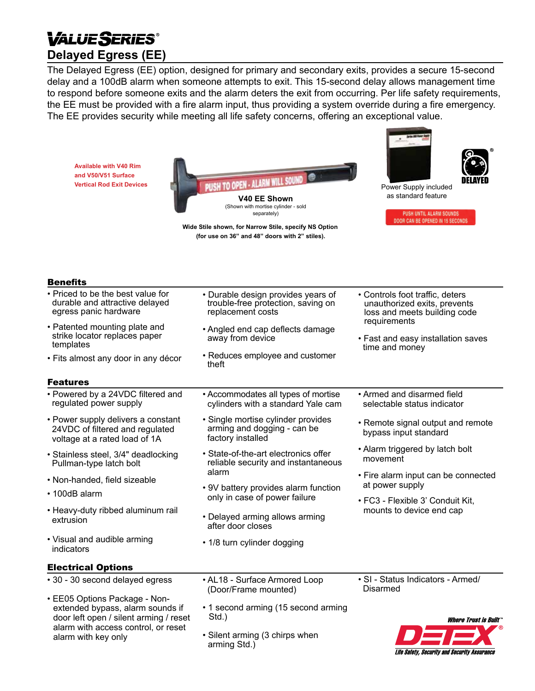# *VALUE SERIES* **Delayed Egress (EE)**

The Delayed Egress (EE) option, designed for primary and secondary exits, provides a secure 15-second delay and a 100dB alarm when someone attempts to exit. This 15-second delay allows management time to respond before someone exits and the alarm deters the exit from occurring. Per life safety requirements, the EE must be provided with a fire alarm input, thus providing a system override during a fire emergency. The EE provides security while meeting all life safety concerns, offering an exceptional value.

**Available with V40 Rim and V50/V51 Surface Vertical Rod Exit Devices**

Benefits



separately)

**Wide Stile shown, for Narrow Stile, specify NS Option (for use on 36" and 48" doors with 2" stiles).**



as standard feature

PUSH UNTIL ALARM SOUNDS DOOR CAN BE OPENED IN 15 SECONDS

**Life Safety, Security and Security Assurance** 

| репентэ                                                                                                                                                                   |                                                                                                                              |                                                                                                                                                                         |
|---------------------------------------------------------------------------------------------------------------------------------------------------------------------------|------------------------------------------------------------------------------------------------------------------------------|-------------------------------------------------------------------------------------------------------------------------------------------------------------------------|
| • Priced to be the best value for<br>durable and attractive delayed<br>egress panic hardware                                                                              | • Durable design provides years of<br>trouble-free protection, saving on<br>replacement costs                                | • Controls foot traffic, deters<br>unauthorized exits, prevents<br>loss and meets building code<br>requirements<br>• Fast and easy installation saves<br>time and money |
| • Patented mounting plate and<br>strike locator replaces paper<br>templates<br>• Fits almost any door in any décor                                                        | • Angled end cap deflects damage<br>away from device<br>• Reduces employee and customer<br>theft                             |                                                                                                                                                                         |
|                                                                                                                                                                           |                                                                                                                              |                                                                                                                                                                         |
| • Powered by a 24VDC filtered and<br>regulated power supply                                                                                                               | • Accommodates all types of mortise<br>cylinders with a standard Yale cam                                                    | • Armed and disarmed field<br>selectable status indicator                                                                                                               |
| • Power supply delivers a constant<br>24VDC of filtered and regulated<br>voltage at a rated load of 1A                                                                    | • Single mortise cylinder provides<br>arming and dogging - can be<br>factory installed                                       | • Remote signal output and remote<br>bypass input standard                                                                                                              |
| • Stainless steel, 3/4" deadlocking<br>Pullman-type latch bolt                                                                                                            | • State-of-the-art electronics offer<br>reliable security and instantaneous<br>alarm<br>• 9V battery provides alarm function | • Alarm triggered by latch bolt<br>movement                                                                                                                             |
| • Non-handed, field sizeable                                                                                                                                              |                                                                                                                              | • Fire alarm input can be connected<br>at power supply                                                                                                                  |
| • 100dB alarm                                                                                                                                                             | only in case of power failure                                                                                                | • FC3 - Flexible 3' Conduit Kit,                                                                                                                                        |
| • Heavy-duty ribbed aluminum rail<br>extrusion                                                                                                                            | • Delayed arming allows arming<br>after door closes                                                                          | mounts to device end cap                                                                                                                                                |
| • Visual and audible arming<br>indicators                                                                                                                                 | • 1/8 turn cylinder dogging                                                                                                  |                                                                                                                                                                         |
| <b>Electrical Options</b>                                                                                                                                                 |                                                                                                                              |                                                                                                                                                                         |
| • 30 - 30 second delayed egress                                                                                                                                           | • AL18 - Surface Armored Loop<br>(Door/Frame mounted)                                                                        | · SI - Status Indicators - Armed/<br><b>Disarmed</b>                                                                                                                    |
| • EE05 Options Package - Non-<br>extended bypass, alarm sounds if<br>door left open / silent arming / reset<br>alarm with access control, or reset<br>alarm with key only | • 1 second arming (15 second arming<br>Std.)                                                                                 | <b>Where Trust is Built</b>                                                                                                                                             |
|                                                                                                                                                                           | • Silent arming (3 chirps when<br>arming Std.)                                                                               |                                                                                                                                                                         |